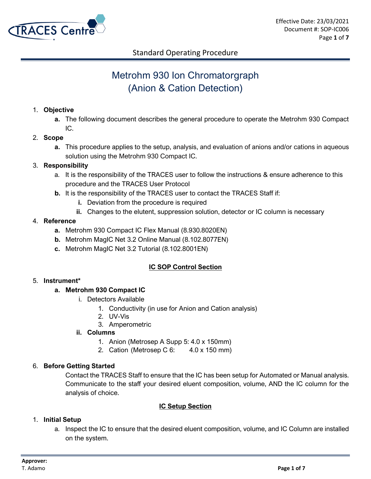

# Metrohm 930 Ion Chromatorgraph (Anion & Cation Detection)

#### 1. **Objective**

- **a.** The following document describes the general procedure to operate the Metrohm 930 Compact IC.
- 2. **Scope**
	- **a.** This procedure applies to the setup, analysis, and evaluation of anions and/or cations in aqueous solution using the Metrohm 930 Compact IC.

#### 3. **Responsibility**

- a. It is the responsibility of the TRACES user to follow the instructions & ensure adherence to this procedure and the TRACES User Protocol
- **b.** It is the responsibility of the TRACES user to contact the TRACES Staff if:
	- **i.** Deviation from the procedure is required
	- **ii.** Changes to the elutent, suppression solution, detector or IC column is necessary

#### 4. **Reference**

- **a.** Metrohm 930 Compact IC Flex Manual (8.930.8020EN)
- **b.** Metrohm MagIC Net 3.2 Online Manual (8.102.8077EN)
- **c.** Metrohm MagIC Net 3.2 Tutorial (8.102.8001EN)

#### **IC SOP Control Section**

#### 5. **Instrument\***

#### **a. Metrohm 930 Compact IC**

- i. Detectors Available
	- 1. Conductivity (in use for Anion and Cation analysis)
	- 2. UV-Vis
	- 3. Amperometric

#### **ii. Columns**

- 1. Anion (Metrosep A Supp 5: 4.0 x 150mm)
- 2. Cation (Metrosep C 6: 4.0 x 150 mm)

#### 6. **Before Getting Started**

Contact the TRACES Staff to ensure that the IC has been setup for Automated or Manual analysis. Communicate to the staff your desired eluent composition, volume, AND the IC column for the analysis of choice.

#### **IC Setup Section**

#### 1. **Initial Setup**

a. Inspect the IC to ensure that the desired eluent composition, volume, and IC Column are installed on the system.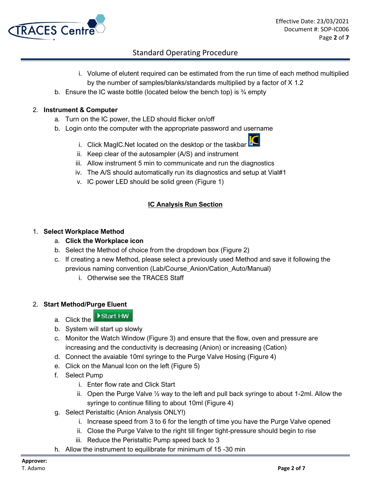

- i. Volume of elutent required can be estimated from the run time of each method multiplied by the number of samples/blanks/standards multiplied by a factor of X 1.2
- b. Ensure the IC waste bottle (located below the bench top) is  $\frac{3}{4}$  empty

#### 2. **Instrument & Computer**

- a. Turn on the IC power, the LED should flicker on/off
- b. Login onto the computer with the appropriate password and username
	- i. Click MagIC.Net located on the desktop or the taskbar
	- ii. Keep clear of the autosampler (A/S) and instrument
	- iii. Allow instrument 5 min to communicate and run the diagnostics
	- iv. The A/S should automatically run its diagnostics and setup at Vial#1
	- v. IC power LED should be solid green (Figure 1)

#### **IC Analysis Run Section**

#### 1. **Select Workplace Method**

- a. **Click the Workplace icon**
- b. Select the Method of choice from the dropdown box (Figure 2)
- c. If creating a new Method, please select a previously used Method and save it following the previous naming convention (Lab/Course\_Anion/Cation\_Auto/Manual)
	- i. Otherwise see the TRACES Staff

#### 2. **Start Method/Purge Eluent**

Start HW a. Click the

- b. System will start up slowly
- c. Monitor the Watch Window (Figure 3) and ensure that the flow, oven and pressure are increasing and the conductivity is decreasing (Anion) or increasing (Cation)
- d. Connect the avaiable 10ml syringe to the Purge Valve Hosing (Figure 4)
- e. Click on the Manual Icon on the left (Figure 5)
- f. Select Pump
	- i. Enter flow rate and Click Start
	- ii. Open the Purge Valve ½ way to the left and pull back syringe to about 1-2ml. Allow the syringe to continue filling to about 10ml (Figure 4)
- g. Select Peristaltic (Anion Analysis ONLY!)
	- i. Increase speed from 3 to 6 for the length of time you have the Purge Valve opened
	- ii. Close the Purge Valve to the right till finger tight-pressure should begin to rise
	- iii. Reduce the Peristaltic Pump speed back to 3
- h. Allow the instrument to equilibrate for minimum of 15 -30 min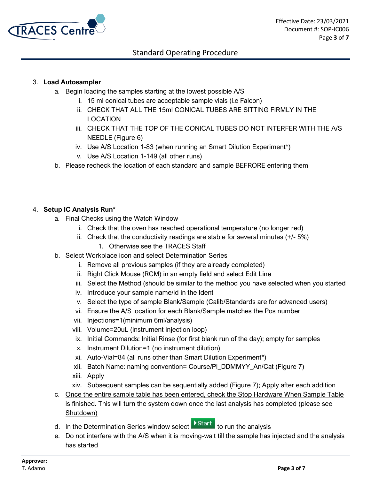

#### 3. **Load Autosampler**

- a. Begin loading the samples starting at the lowest possible A/S
	- i. 15 ml conical tubes are acceptable sample vials (i.e Falcon)
	- ii. CHECK THAT ALL THE 15ml CONICAL TUBES ARE SITTING FIRMLY IN THE LOCATION
	- iii. CHECK THAT THE TOP OF THE CONICAL TUBES DO NOT INTERFER WITH THE A/S NEEDLE (Figure 6)
	- iv. Use A/S Location 1-83 (when running an Smart Dilution Experiment\*)
	- v. Use A/S Location 1-149 (all other runs)
- b. Please recheck the location of each standard and sample BEFRORE entering them

#### 4. **Setup IC Analysis Run\***

- a. Final Checks using the Watch Window
	- i. Check that the oven has reached operational temperature (no longer red)
	- ii. Check that the conductivity readings are stable for several minutes  $(+/- 5%)$ 
		- 1. Otherwise see the TRACES Staff
- b. Select Workplace icon and select Determination Series
	- i. Remove all previous samples (if they are already completed)
	- ii. Right Click Mouse (RCM) in an empty field and select Edit Line
	- iii. Select the Method (should be similar to the method you have selected when you started
	- iv. Introduce your sample name/id in the Ident
	- v. Select the type of sample Blank/Sample (Calib/Standards are for advanced users)
	- vi. Ensure the A/S location for each Blank/Sample matches the Pos number
	- vii. Injections=1(minimum 6ml/analysis)
	- viii. Volume=20uL (instrument injection loop)
	- ix. Initial Commands: Initial Rinse (for first blank run of the day); empty for samples
	- x. Instrument Dilution=1 (no instrument dilution)
	- xi. Auto-Vial=84 (all runs other than Smart Dilution Experiment\*)
	- xii. Batch Name: naming convention= Course/PI\_DDMMYY\_An/Cat (Figure 7)
	- xiii. Apply
	- xiv. Subsequent samples can be sequentially added (Figure 7); Apply after each addition
- c. Once the entire sample table has been entered, check the Stop Hardware When Sample Table is finished. This will turn the system down once the last analysis has completed (please see Shutdown)
- d. In the Determination Series window select **X** Start to run the analysis
	-
- e. Do not interfere with the A/S when it is moving-wait till the sample has injected and the analysis has started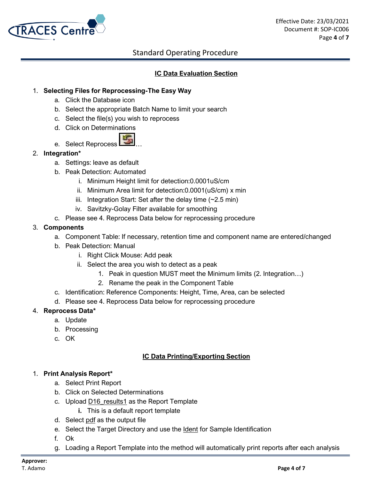

#### **IC Data Evaluation Section**

#### 1. **Selecting Files for Reprocessing-The Easy Way**

- a. Click the Database icon
- b. Select the appropriate Batch Name to limit your search
- c. Select the file(s) you wish to reprocess
- d. Click on Determinations
- e. Select Reprocess

#### 2. **Integration\***

- a. Settings: leave as default
- b. Peak Detection: Automated
	- i. Minimum Height limit for detection:0.0001uS/cm
	- ii. Minimum Area limit for detection:0.0001(uS/cm) x min
	- iii. Integration Start: Set after the delay time  $(-2.5 \text{ min})$
	- iv. Savitzky-Golay Filter available for smoothing
- c. Please see 4. Reprocess Data below for reprocessing procedure

#### 3. **Components**

- a. Component Table: If necessary, retention time and component name are entered/changed
- b. Peak Detection: Manual
	- i. Right Click Mouse: Add peak
	- ii. Select the area you wish to detect as a peak
		- 1. Peak in question MUST meet the Minimum limits (2. Integration…)
		- 2. Rename the peak in the Component Table
- c. Identification: Reference Components: Height, Time, Area, can be selected
- d. Please see 4. Reprocess Data below for reprocessing procedure

#### 4. **Reprocess Data\***

- a. Update
- b. Processing
- c. OK

#### **IC Data Printing/Exporting Section**

#### 1. **Print Analysis Report\***

- a. Select Print Report
- b. Click on Selected Determinations
- c. Upload D16 results1 as the Report Template
	- **i.** This is a default report template
- d. Select pdf as the output file
- e. Select the Target Directory and use the Ident for Sample Identification
- f. Ok
- g. Loading a Report Template into the method will automatically print reports after each analysis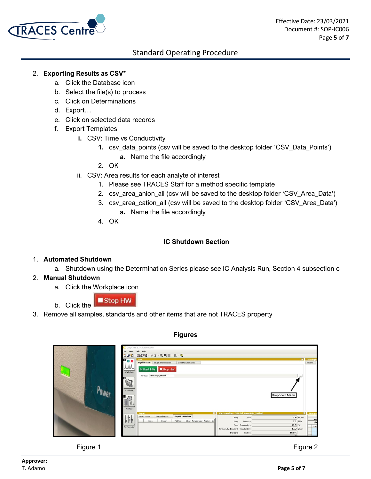

#### 2. **Exporting Results as CSV\***

- a. Click the Database icon
- b. Select the file(s) to process
- c. Click on Determinations
- d. Export…
- e. Click on selected data records
- f. Export Templates
	- **i.** CSV: Time vs Conductivity
		- **1.** csv\_data\_points (csv will be saved to the desktop folder 'CSV\_Data\_Points')
			- **a.** Name the file accordingly
		- 2. OK
	- ii. CSV: Area results for each analyte of interest
		- 1. Please see TRACES Staff for a method specific template
		- 2. csv\_area\_anion\_all (csv will be saved to the desktop folder 'CSV\_Area\_Data')
		- 3. csv\_area\_cation\_all (csv will be saved to the desktop folder 'CSV\_Area\_Data')
			- **a.** Name the file accordingly
		- 4. OK

#### **IC Shutdown Section**

#### 1. **Automated Shutdown**

a. Shutdown using the Determination Series please see IC Analysis Run, Section 4 subsection c

#### 2. **Manual Shutdown**

a. Click the Workplace icon

Stop HW b. Click the

3. Remove all samples, standards and other items that are not TRACES property

| MagIC Net 3.2 - Auto Dilution<br>File<br>Tools Help<br>View<br>因配置 √ 3 电司画 图 图<br>080                                                                                      |                                                                                                                                                                                                                                     |                                |  |
|----------------------------------------------------------------------------------------------------------------------------------------------------------------------------|-------------------------------------------------------------------------------------------------------------------------------------------------------------------------------------------------------------------------------------|--------------------------------|--|
| <b>Pos</b><br>Equilibration   Single determination<br>Determination series<br>MV-<br>Start HW Stop HW<br>Workplace<br>Method AnionAuto_Method<br>Database<br>FD3<br>Method | 288.5<br>Dropdown Menu                                                                                                                                                                                                              | <b>U</b> Live displa<br>Anions |  |
| m<br>Report<br><b>Report overview</b><br>Selected report<br>Latest report<br>Method<br>Ident Sample type Position Inje<br>Date<br>Report<br>₿.<br>Configuration            | Watch window - CMitchel AnionAuto Method<br>$0.8$ mL/min<br>Flow<br>Pump<br>$0.1$ MPa<br>Pump<br>Pressure<br>18.9 ℃<br>Oven Temperature<br>$4.52$ µS/cm<br>Conductivity detector 1 Conductivity<br>Inject<br>Injector 1<br>Position | Time pro<br>pre<br>Ma<br>Time  |  |

**Figures**

#### Figure 1 and 1 and 1 and 1 and 1 and 1 and 1 and 1 and 1 and 1 and 1 and 1 and 1 and 1 and 1 and 1 and 1 and 1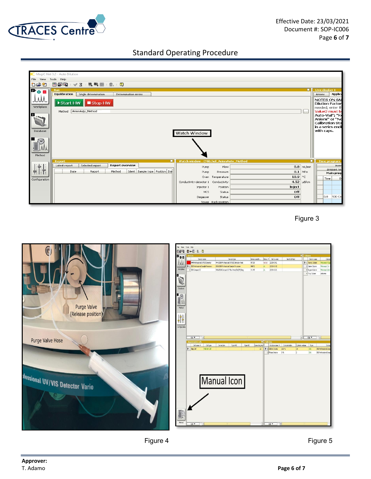



Figure 3